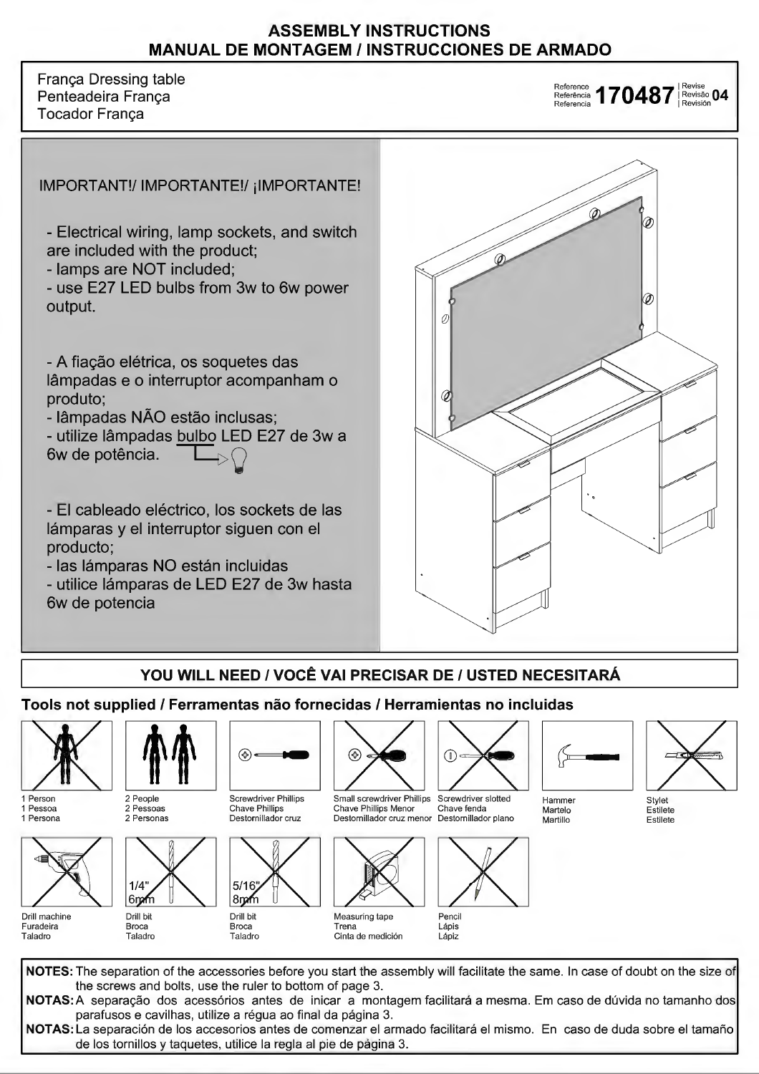### **ASSEMBLY INSTRUCTIONS MANUAL DE MONTAGEM/ INSTRUCCIONES DE ARMADO**

França Dressing table Penteadeira França Tocador França

Reference<br>Referência **170487** Revisão **04**<br>Referencia **170487** Revisión



# **VOU WILL NEED** / **VOCÊ VAI PRECISAR DE/ USTED NECESITARÁ**

# **Tools not supplied** / **Ferramentas não fornecidas/ Herramientas no incluidas**



1 Person 1 Pessoa 1 Persona



Drill machine Furadeira **Taladro** 



2 Pessoas 2 Personas



Broca Taladro



Drill bit Broca Taladro

 $8 \, \text{m}$ 

 $5/16$ 

Destornillador cruz



Destornillador cruz menor Destornillador plano

Chave Phillips Menor

(ራ



Cinta de medición



Small screwdriver Phillips Screwdriver slotted<br>Chave Phillips Menor Chave fenda



Lápis Lápiz





Stylet Estilete Estilete

NOTES: The separation of the accessories before you start the assembly will facilitate the same. In case of doubt on the size of the screws and bolts, use the ruler to bottom of page 3. **NOTAS:A** separação dos acessórios antes de inicar a montagem facilitará a mesma. Em caso de dúvida no tamanho dos parafusos e cavilhas, utilize a régua ao final da página 3. **NOTAS:** La separación de los accesorios antes de comenzar el armado facilitará el mismo. En caso de duda sobre el tamafío de los tornillos y taquetes, utilice la regia ai pie de página 3.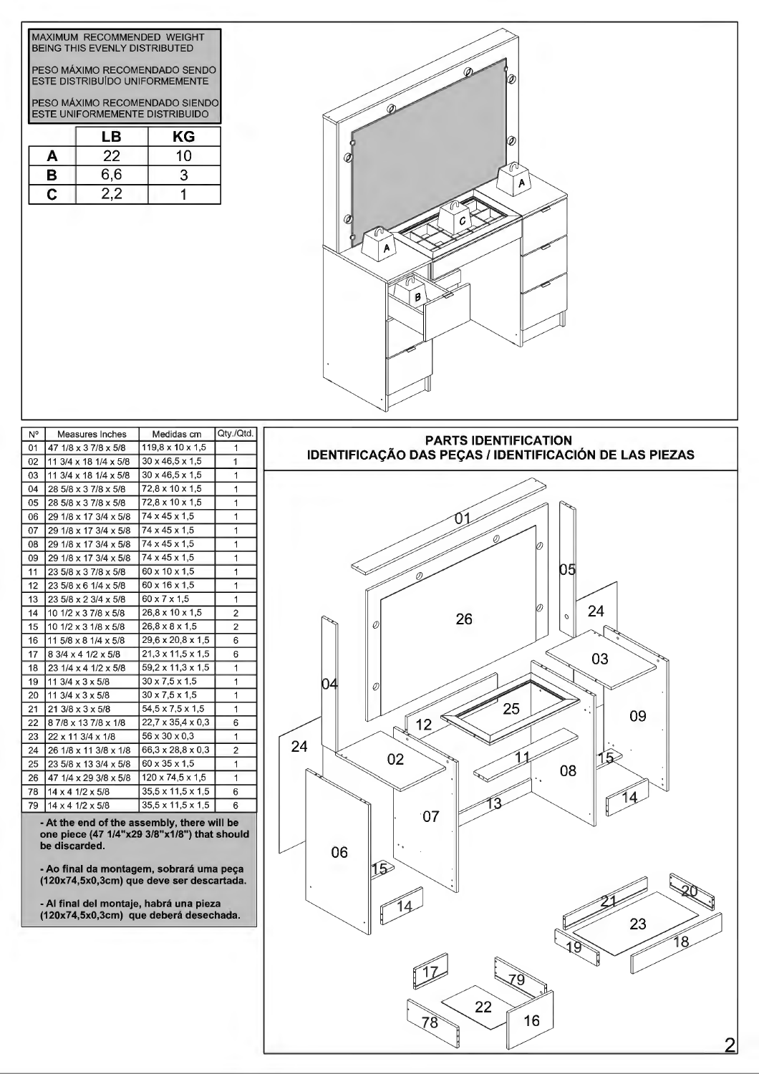| MAXIMUM RECOMMENDED WEIGHT<br><b>BEING THIS EVENLY DISTRIBUTED</b> |                               |    |  |  |  |  |
|--------------------------------------------------------------------|-------------------------------|----|--|--|--|--|
|                                                                    | PESO MÁXIMO RECOMENDADO SENDO |    |  |  |  |  |
| ESTE DISTRIBUÍDO UNIFORMEMENTE                                     |                               |    |  |  |  |  |
| PESO MÁXIMO RECOMENDADO SIENDO<br>ESTE UNIFORMEMENTE DISTRIBUIDO   |                               |    |  |  |  |  |
|                                                                    | LВ                            | ΚG |  |  |  |  |
| A                                                                  | 22                            | 10 |  |  |  |  |
| в                                                                  | 6,6                           | 3  |  |  |  |  |
| C                                                                  | 2.2                           |    |  |  |  |  |



| N° | Measures Inches                 | Medidas cm                    | Qtv./Qtd.      |
|----|---------------------------------|-------------------------------|----------------|
| 01 | 47 1/8 x 3 7/8 x 5/8            | 119,8 x 10 x 1,5              | 1              |
| 02 | 11 3/4 x 18 1/4 x 5/8           | $30 \times 46, 5 \times 1, 5$ | 1              |
| 03 | 11 3/4 x 18 1/4 x 5/8           | $30 \times 46.5 \times 1.5$   | 1              |
| 04 | 28 5/8 x 3 7/8 x 5/8            | 72,8 x 10 x 1,5               | 1              |
| 05 | 28 5/8 x 3 7/8 x 5/8            | 72.8 x 10 x 1.5               | 1              |
| 06 | 29 1/8 x 17 3/4 x 5/8           | 74 x 45 x 1.5                 | 1              |
| 07 | 29 1/8 x 17 3/4 x 5/8           | 74 x 45 x 1.5                 | 1              |
| 08 | 29 1/8 x 17 3/4 x 5/8           | 74 x 45 x 1.5                 | 1              |
| 09 | 29 1/8 x 17 3/4 x 5/8           | 74 x 45 x 1.5                 | 1              |
| 11 | 23 5/8 x 3 7/8 x 5/8            | 60 x 10 x 1.5                 | 1              |
| 12 | 23 5/8 x 6 1/4 x 5/8            | 60 x 16 x 1,5                 | 1              |
| 13 | 23 5/8 x 2 3/4 x 5/8            | 60 x 7 x 1.5                  | 1              |
| 14 | 10 1/2 x 3 7/8 x 5/8            | 26.8 x 10 x 1.5               | $\overline{c}$ |
| 15 | 10 1/2 x 3 1/8 x 5/8            | $26.8 \times 8 \times 1.5$    | $\overline{2}$ |
| 16 | 11 5/8 x 8 1/4 x 5/8            | $29.6 \times 20.8 \times 1.5$ | 6              |
| 17 | 8 3/4 x 4 1/2 x 5/8             | $21.3 \times 11.5 \times 1.5$ | 6              |
| 18 | 23 1/4 x 4 1/2 x 5/8            | 59, 2 x 11, 3 x 1, 5          | 1              |
| 19 | 11 3/4 $\times$ 3 $\times$ 5/8  | $30 \times 7.5 \times 1.5$    | 1              |
| 20 | 11 3/4 $\times$ 3 $\times$ 5/8  | $30 \times 7.5 \times 1.5$    | 1              |
| 21 | 21 3/8 x 3 x 5/8                | $54,5 \times 7,5 \times 1,5$  | 1              |
| 22 | 87/8 x 137/8 x 1/8              | $22,7 \times 35,4 \times 0,3$ | 6              |
| 23 | $22 \times 11$ 3/4 $\times$ 1/8 | $56 \times 30 \times 0.3$     | 1              |
| 24 | 26 1/8 x 11 3/8 x 1/8           | 66, 3 x 28, 8 x 0, 3          | $\overline{2}$ |
| 25 | 23 5/8 x 13 3/4 x 5/8           | 60 x 35 x 1,5                 | 1              |
| 26 | 47 1/4 x 29 3/8 x 5/8           | $120 \times 74.5 \times 1.5$  | 1              |
| 78 | $14 \times 4$ 1/2 $\times$ 5/8  | $35.5 \times 11.5 \times 1.5$ | 6              |
| 79 | 14 x 4 1/2 x 5/8                | 35,5 x 11,5 x 1,5             | 6              |
|    |                                 |                               |                |

- **At the end of the assembly, there will be one piece (47 1/4"x29 3/8"x1/8") that should be discarded.** 06

- **Ao final da montagem, sobrará uma peça (120x74,5x0,3cm) que deve ser descartada.** 

- **AI final dei montaje, habrá una pieza** 

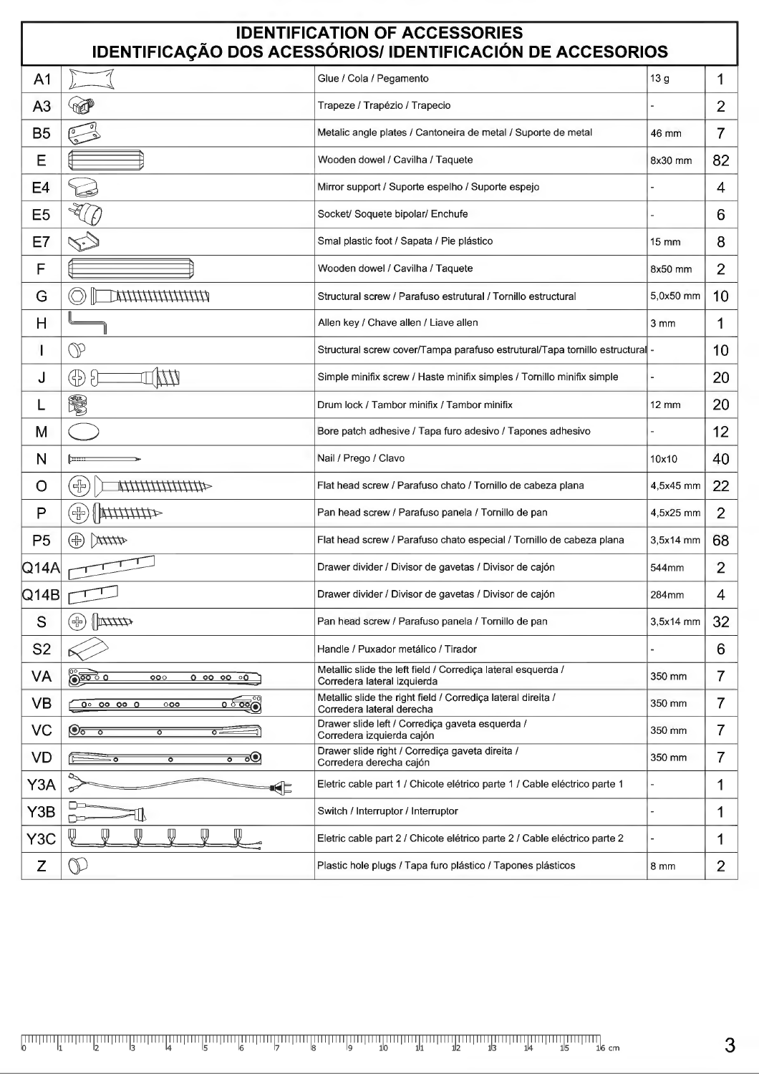| <b>IDENTIFICATION OF ACCESSORIES</b><br>IDENTIFICAÇÃO DOS ACESSÓRIOS/ IDENTIFICACIÓN DE ACCESORIOS |                                                          |                                                                                             |                 |                 |  |  |
|----------------------------------------------------------------------------------------------------|----------------------------------------------------------|---------------------------------------------------------------------------------------------|-----------------|-----------------|--|--|
| A <sub>1</sub>                                                                                     |                                                          | Glue / Cola / Pegamento                                                                     | 13 g            | 1               |  |  |
| A <sub>3</sub>                                                                                     | <b>TALL</b>                                              | Trapeze / Trapézio / Trapecio                                                               |                 | $\overline{2}$  |  |  |
| <b>B5</b>                                                                                          |                                                          | Metalic angle plates / Cantoneira de metal / Suporte de metal                               | 46 mm           | $\overline{7}$  |  |  |
| E                                                                                                  |                                                          | Wooden dowel / Cavilha / Taquete                                                            | 8x30 mm         | 82              |  |  |
| E <sub>4</sub>                                                                                     |                                                          | Mirror support / Suporte espelho / Suporte espejo                                           |                 | 4               |  |  |
| E <sub>5</sub>                                                                                     |                                                          | Socket/ Soquete bipolar/ Enchufe                                                            |                 | 6               |  |  |
| E7                                                                                                 |                                                          | Smal plastic foot / Sapata / Pie plástico                                                   | 15 mm           | 8               |  |  |
| F                                                                                                  |                                                          | Wooden dowel / Cavilha / Taquete                                                            | 8x50 mm         | $\overline{2}$  |  |  |
| G                                                                                                  | шшшшшт                                                   | Structural screw / Parafuso estrutural / Tornillo estructural                               | 5,0x50 mm       | 10              |  |  |
| Н                                                                                                  |                                                          | Allen key / Chave allen / Liave allen                                                       | 3 <sub>mm</sub> | 1               |  |  |
| I                                                                                                  | $\mathbb O$                                              | Structural screw cover/Tampa parafuso estrutural/Tapa tornillo estructural -                |                 | 10 <sup>°</sup> |  |  |
| J                                                                                                  | WW<br>⊕<br>5                                             | Simple minifix screw / Haste minifix simples / Tornillo minifix simple                      |                 | 20              |  |  |
|                                                                                                    | S.                                                       | Drum lock / Tambor minifix / Tambor minifix                                                 | 12 mm           | 20              |  |  |
| M                                                                                                  |                                                          | Bore patch adhesive / Tapa furo adesivo / Tapones adhesivo                                  |                 | 12              |  |  |
| N                                                                                                  |                                                          | Nail / Prego / Clavo                                                                        | 10x10           | 40              |  |  |
| O                                                                                                  | (*)<br>444444444444                                      | Flat head screw / Parafuso chato / Tornillo de cabeza plana                                 | 4,5x45 mm       | 22              |  |  |
| P                                                                                                  | $\oplus$<br><b>WATHATAR</b>                              | Pan head screw / Parafuso panela / Tornillo de pan                                          | 4,5x25 mm       | $\overline{2}$  |  |  |
| P <sub>5</sub>                                                                                     | <b>Atth</b><br>(49                                       | Flat head screw / Parafuso chato especial / Tornillo de cabeza plana                        | 3,5x14 mm       | 68              |  |  |
| $Q$ 14A                                                                                            |                                                          | Drawer divider / Divisor de gavetas / Divisor de cajón                                      | 544mm           | $\overline{2}$  |  |  |
| Q14B                                                                                               |                                                          | Drawer divider / Divisor de gavetas / Divisor de cajón                                      | 284mm           | 4               |  |  |
| S                                                                                                  | ⊕)<br>$\frac{1}{2}$                                      | Pan head screw / Parafuso panela / Tornillo de pan                                          | $3,5x14$ mm     | 32              |  |  |
| S <sub>2</sub>                                                                                     |                                                          | Handle / Puxador metálico / Tirador                                                         |                 | 6               |  |  |
| VA                                                                                                 | 000<br>$0$ 00 00 00                                      | Metallic slide the left field / Corrediça lateral esquerda /<br>Corredera lateral izquierda | 350 mm          | $\overline{7}$  |  |  |
| <b>VB</b>                                                                                          | <u>၀ ် ၀၀</u> (၅<br>$00$ 00 00 0<br>000                  | Metallic slide the right field / Corrediça lateral direita /<br>Corredera lateral derecha   | 350 mm          | $\overline{7}$  |  |  |
| VC                                                                                                 | <u>िह्रक</u><br>ত<br>∘≂                                  | Drawer slide left / Corrediça gaveta esquerda /<br>Corredera izquierda cajón                | 350 mm          | $\overline{7}$  |  |  |
| <b>VD</b>                                                                                          | ಕ್<br>$\overline{\bullet}$<br>≐⊽<br>$\overline{\bullet}$ | Drawer slide right / Corrediça gaveta direita /<br>Corredera derecha cajón                  | 350 mm          | $\overline{7}$  |  |  |
| Y3A                                                                                                | ⇘<br>€<br>℺                                              | Eletric cable part 1 / Chicote elétrico parte 1 / Cable eléctrico parte 1                   |                 | 1               |  |  |
| Y3B                                                                                                | □<br>rd                                                  | Switch / Interruptor / Interruptor                                                          |                 | 1               |  |  |
| Y <sub>3</sub> C                                                                                   | ₩<br>⋓<br>⋓                                              | Eletric cable part 2 / Chicote elétrico parte 2 / Cable eléctrico parte 2                   |                 | 1               |  |  |
| Z                                                                                                  | $\mathbb{D}$                                             | Plastic hole plugs / Tapa furo plástico / Tapones plásticos                                 | 8 mm            | $\overline{2}$  |  |  |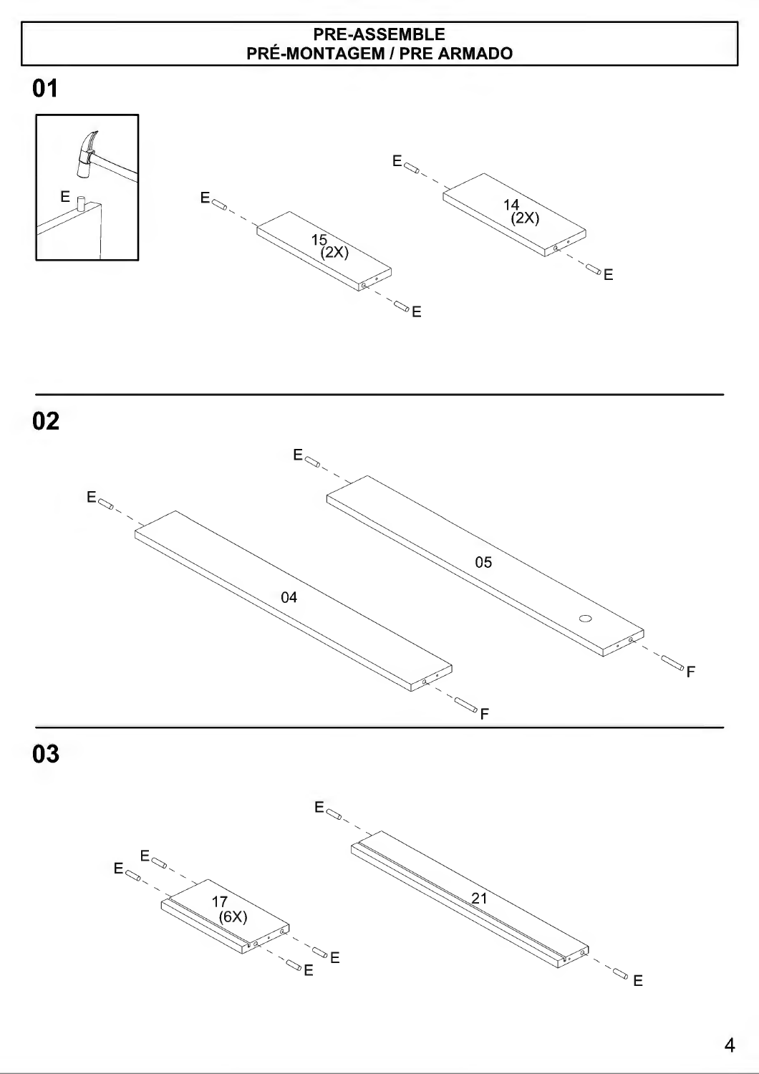### PRE-ASSEMBLE PRÉ-MONTAGEM/ PRE ARMADO

 $\overline{\mathbb{C}}$ E









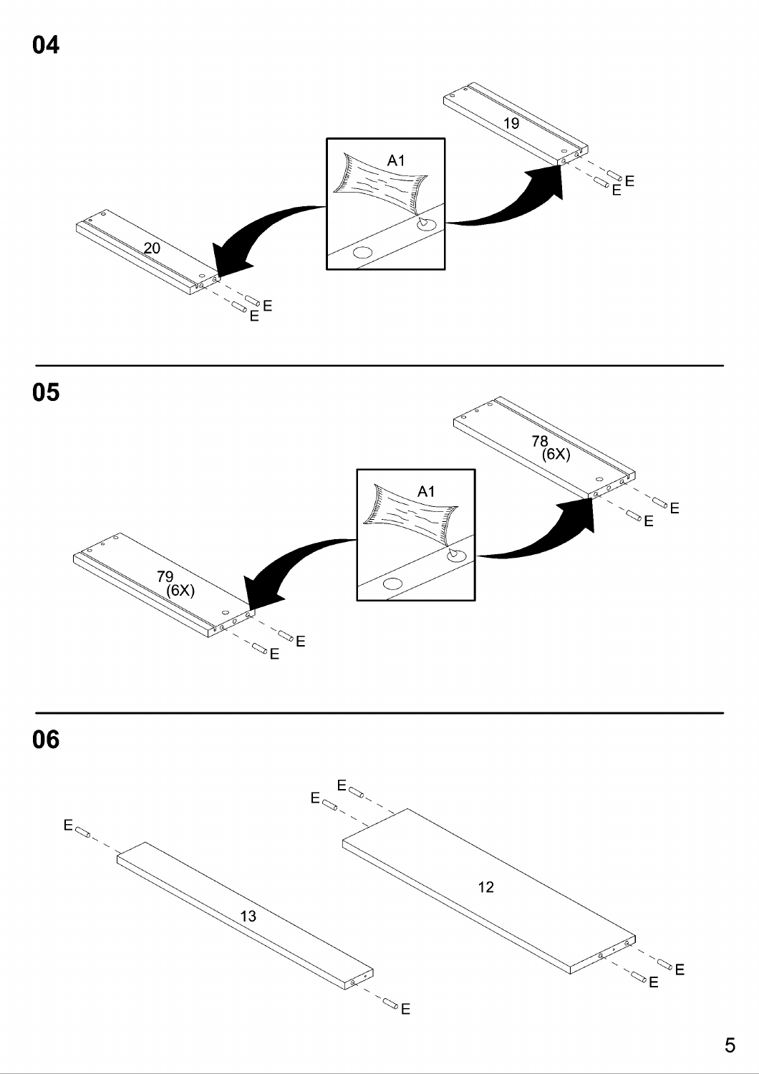

 $\infty$   $E$ 





 $\mathbb{Z}_{E}^{\infty}$ E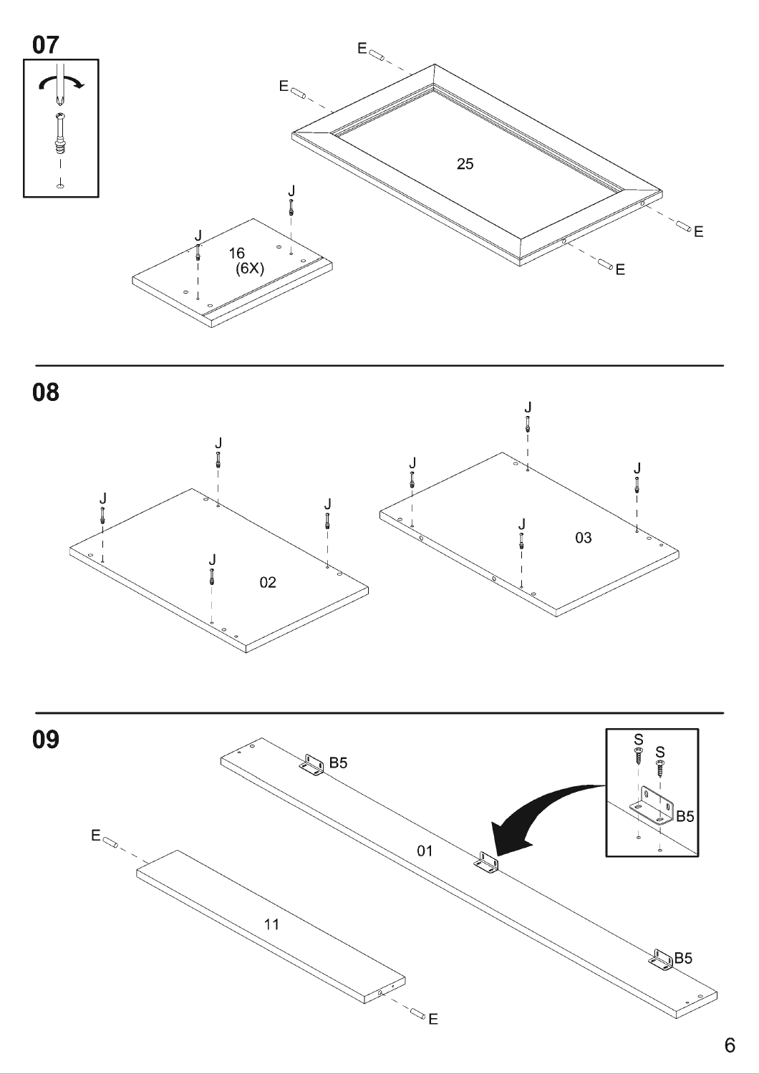



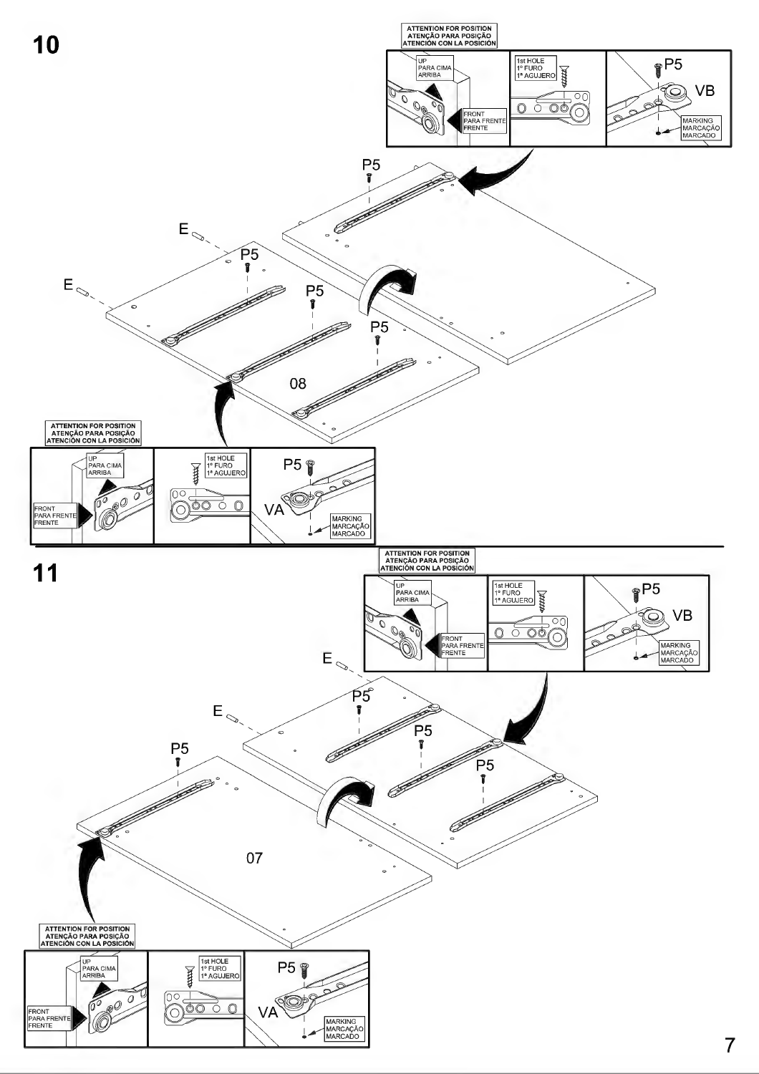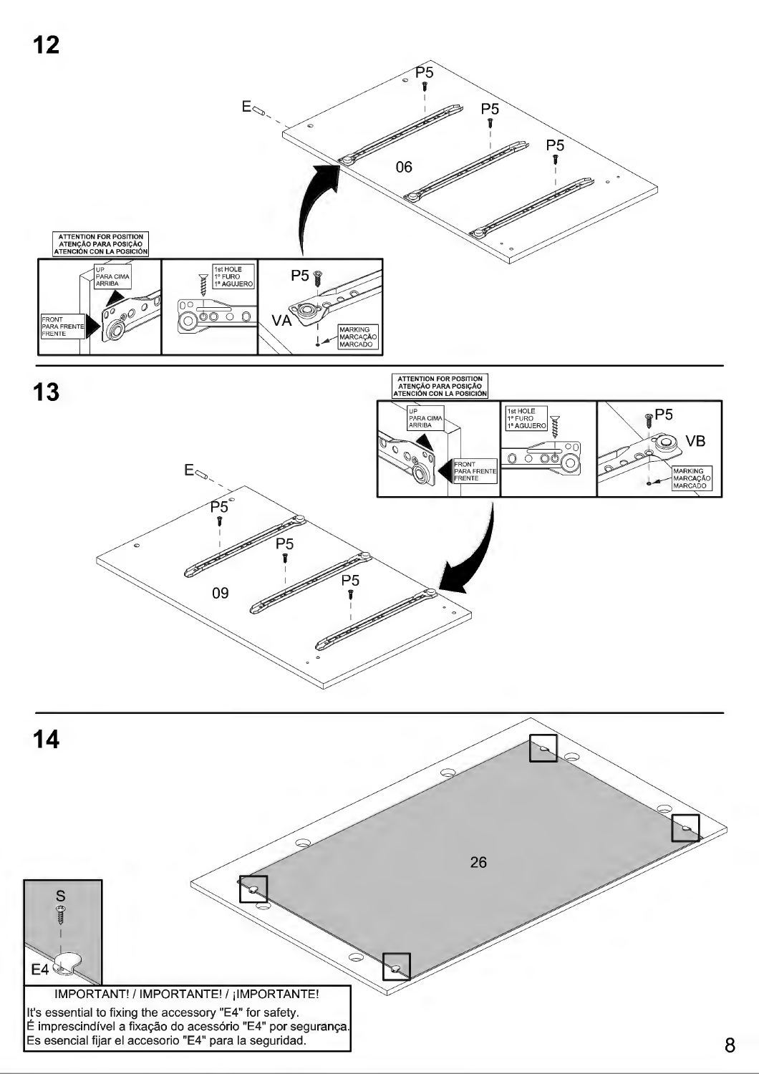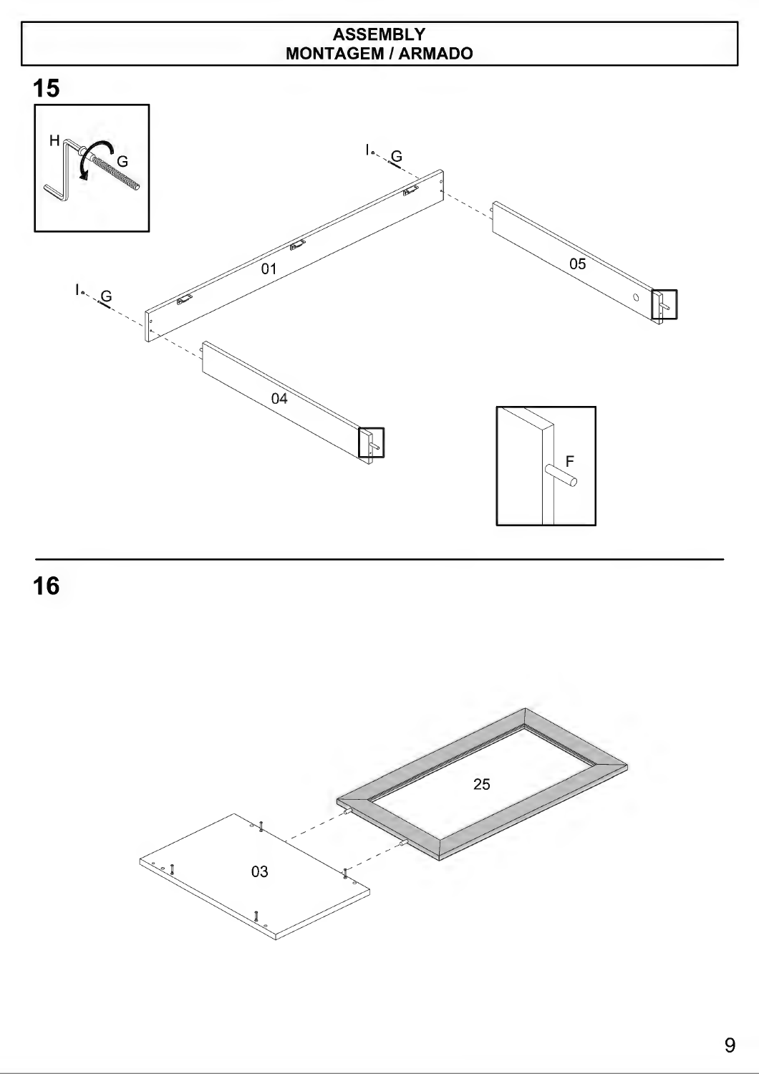#### ASSEMBLY MONTAGEM/ARMADO



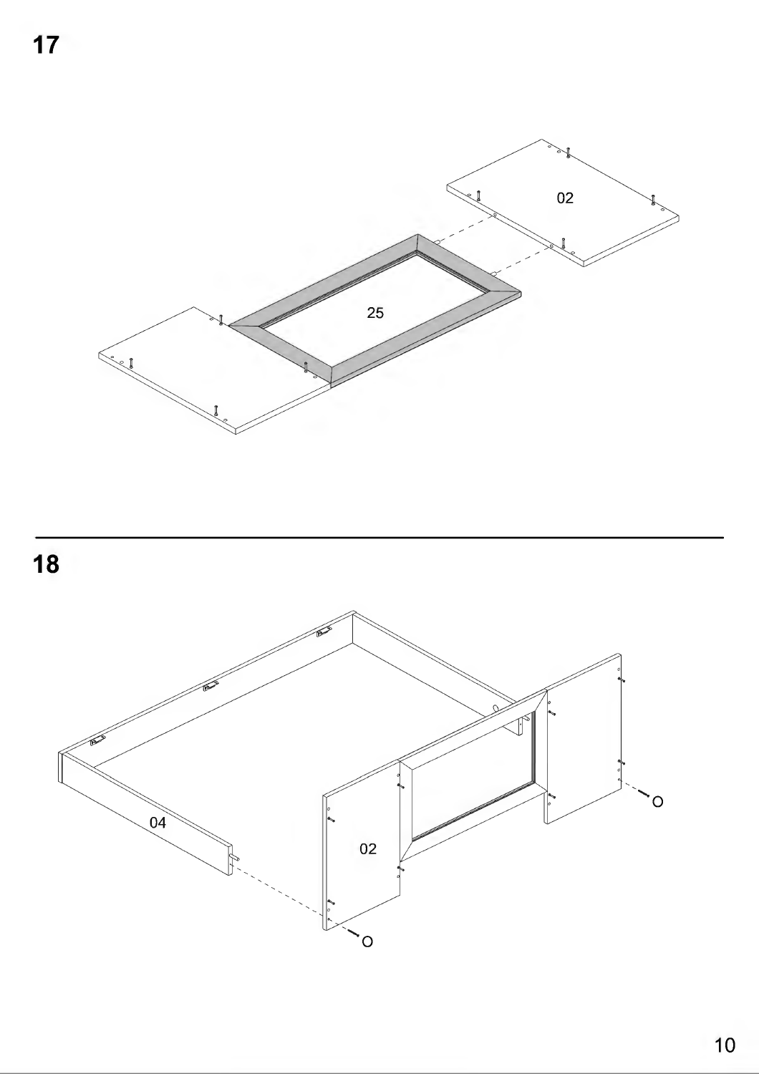

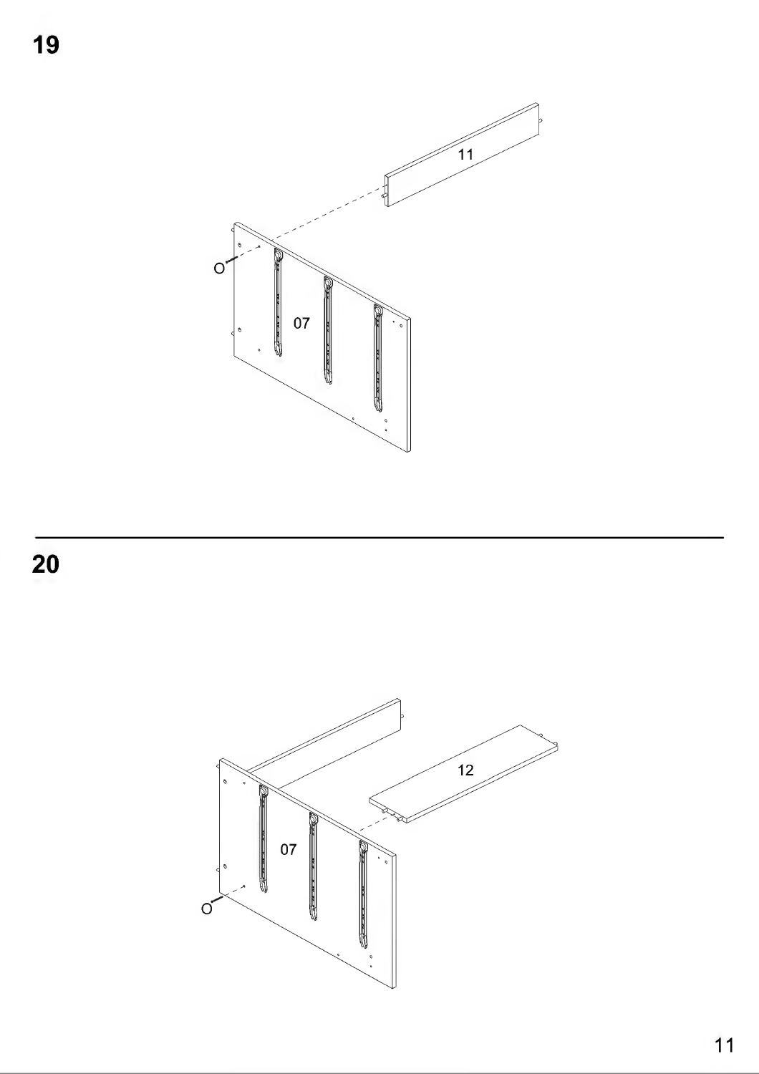

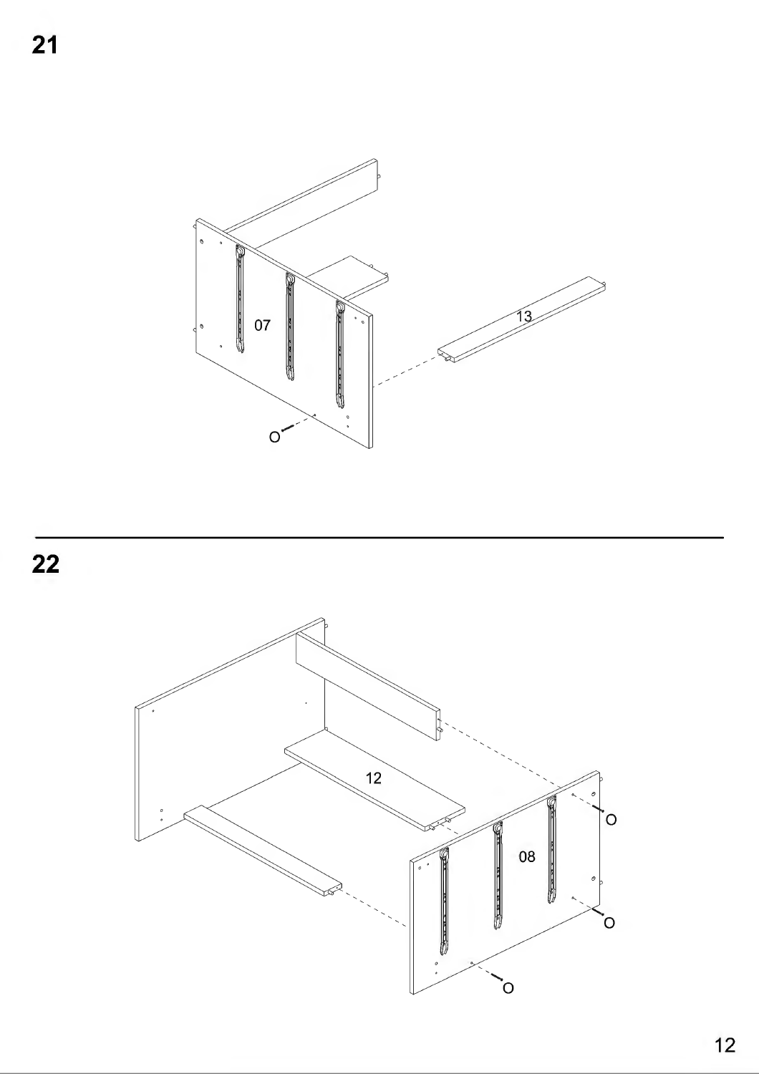



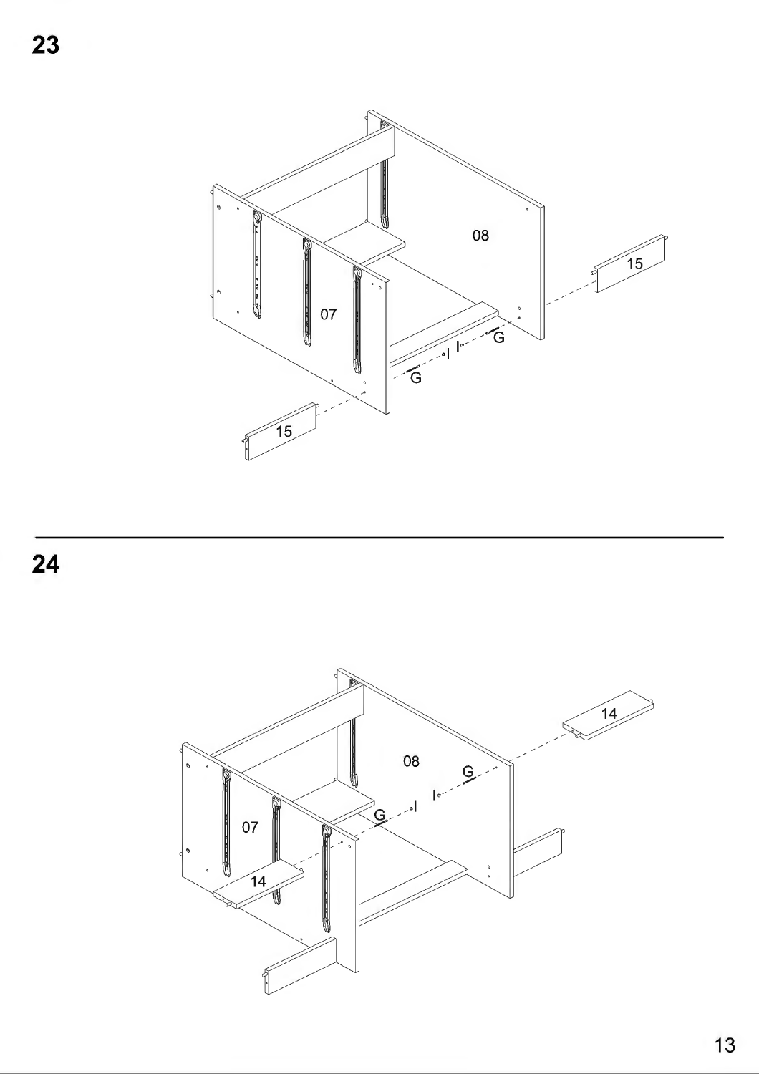



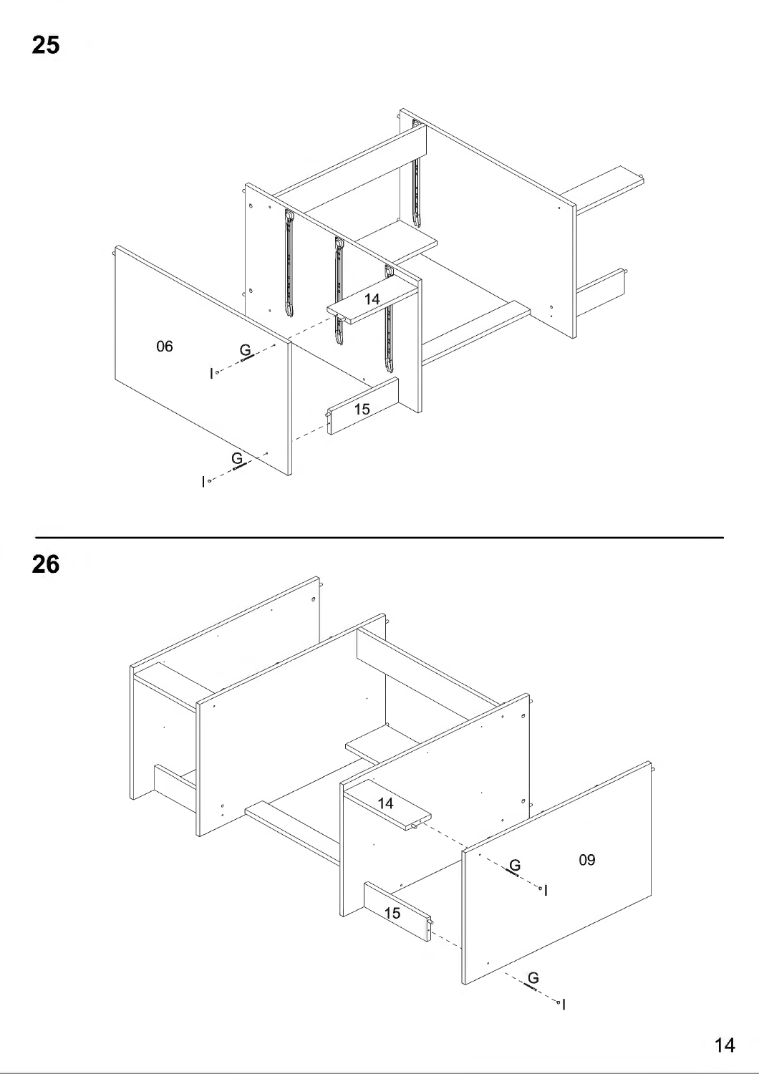

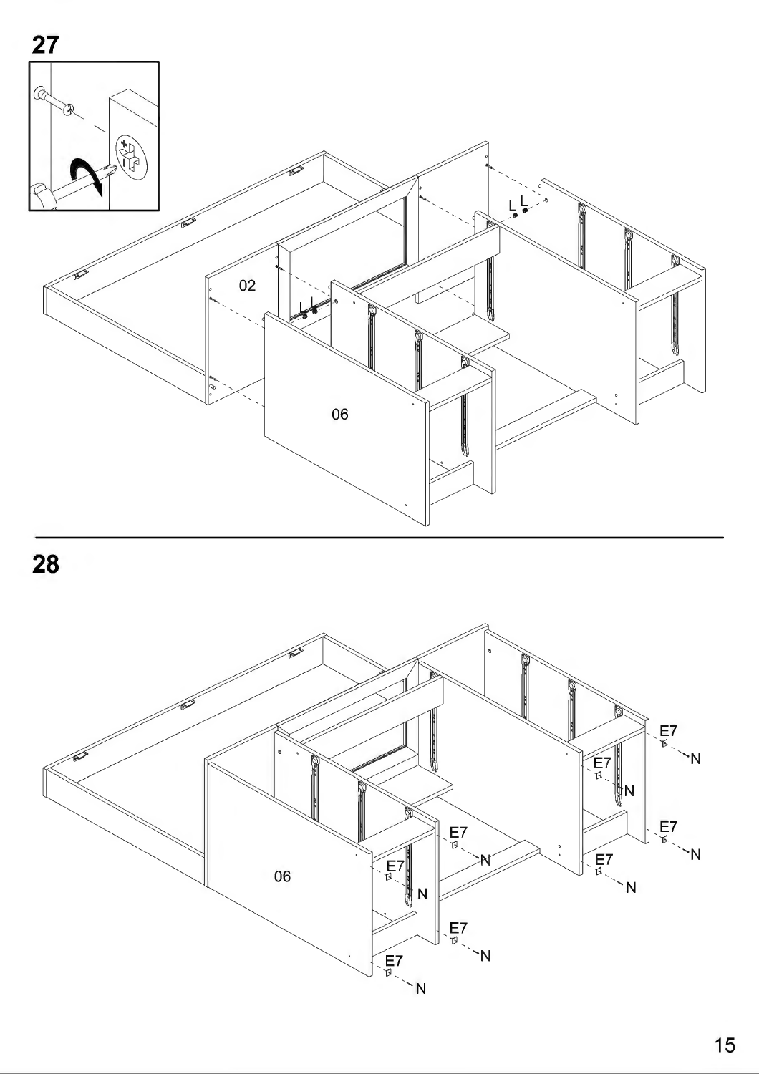



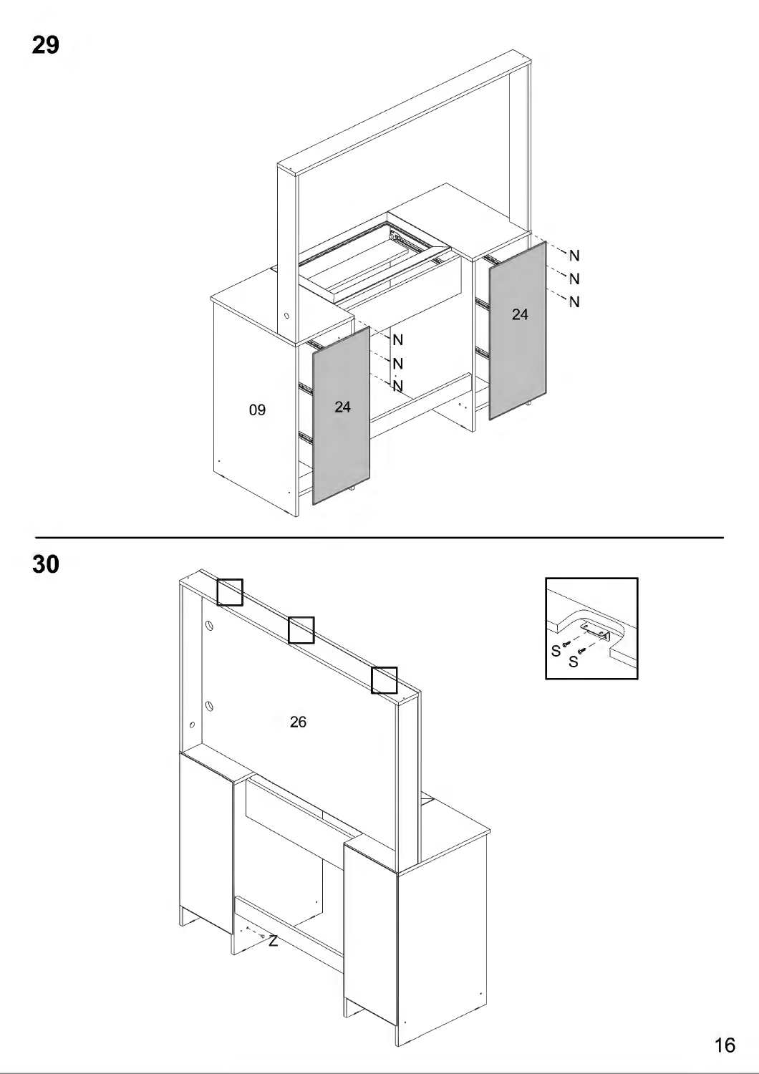





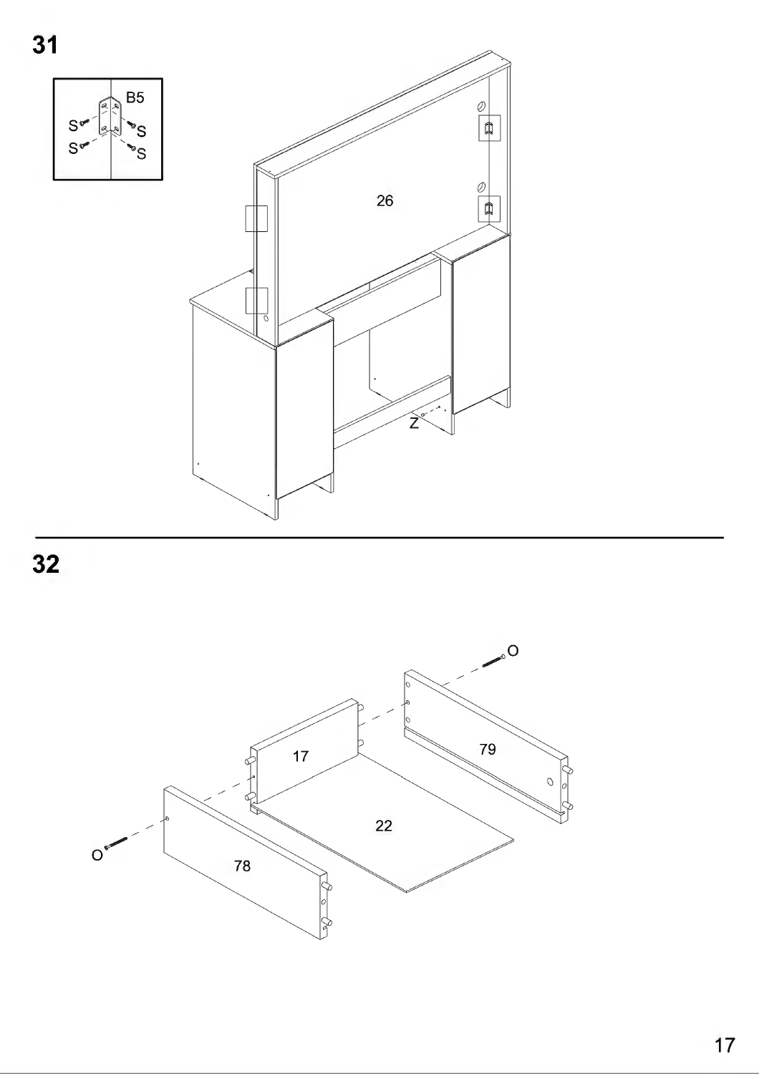

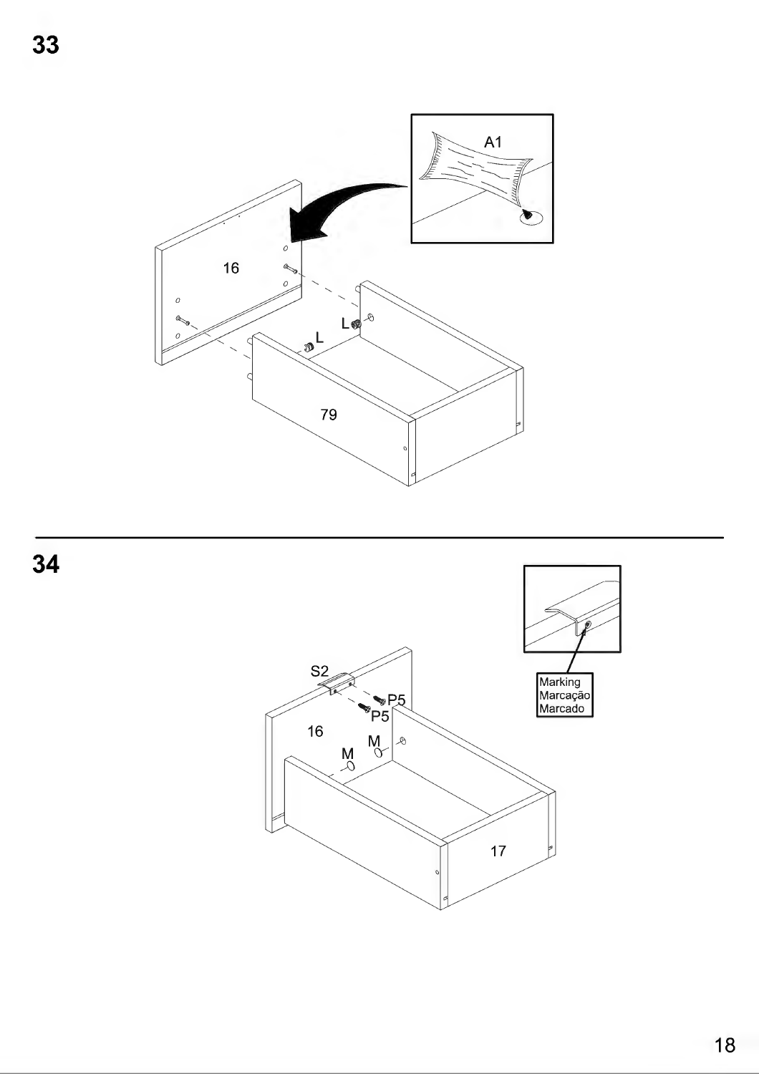$A1$ D  $\boldsymbol{o}$ 16 and  $\circ$ L®  $\mathcal{A}$ Ġ  $\frac{1}{2}$  $\sqrt{2}$ 79

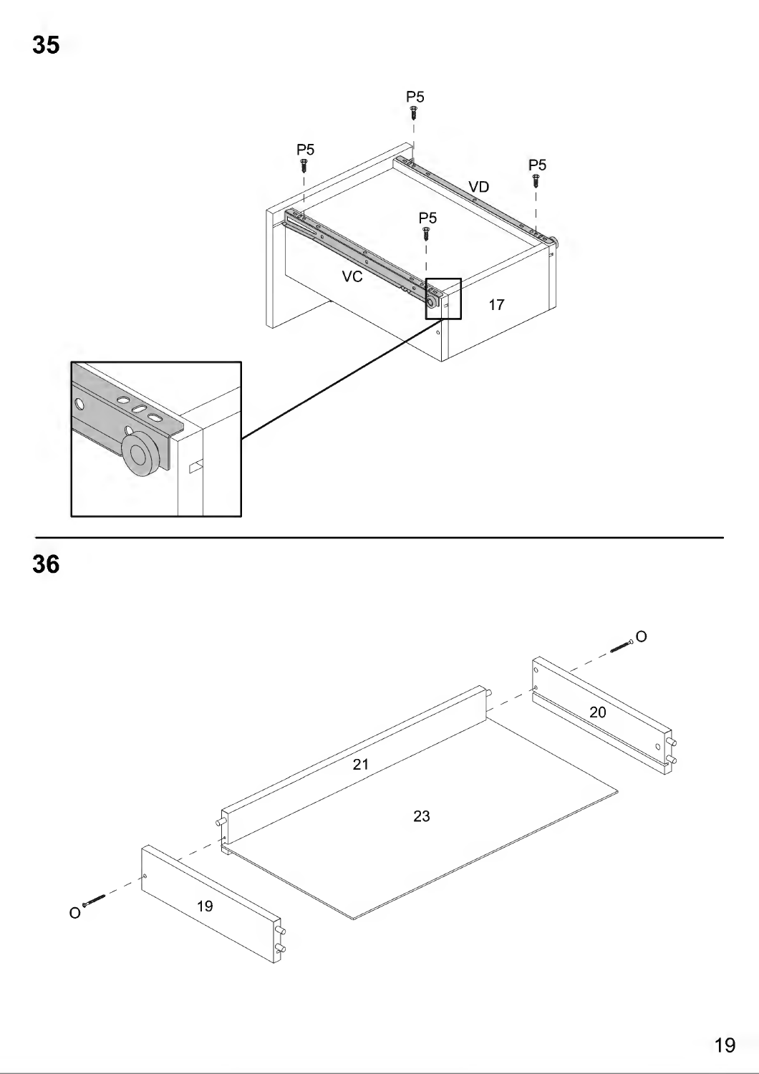

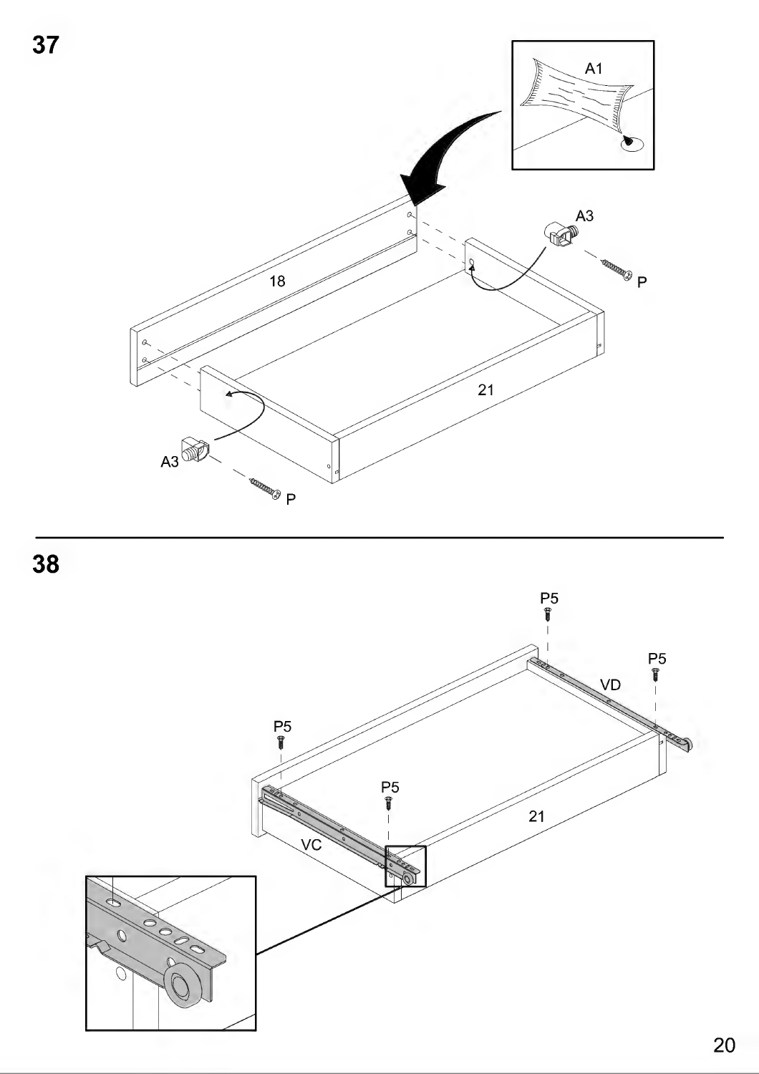

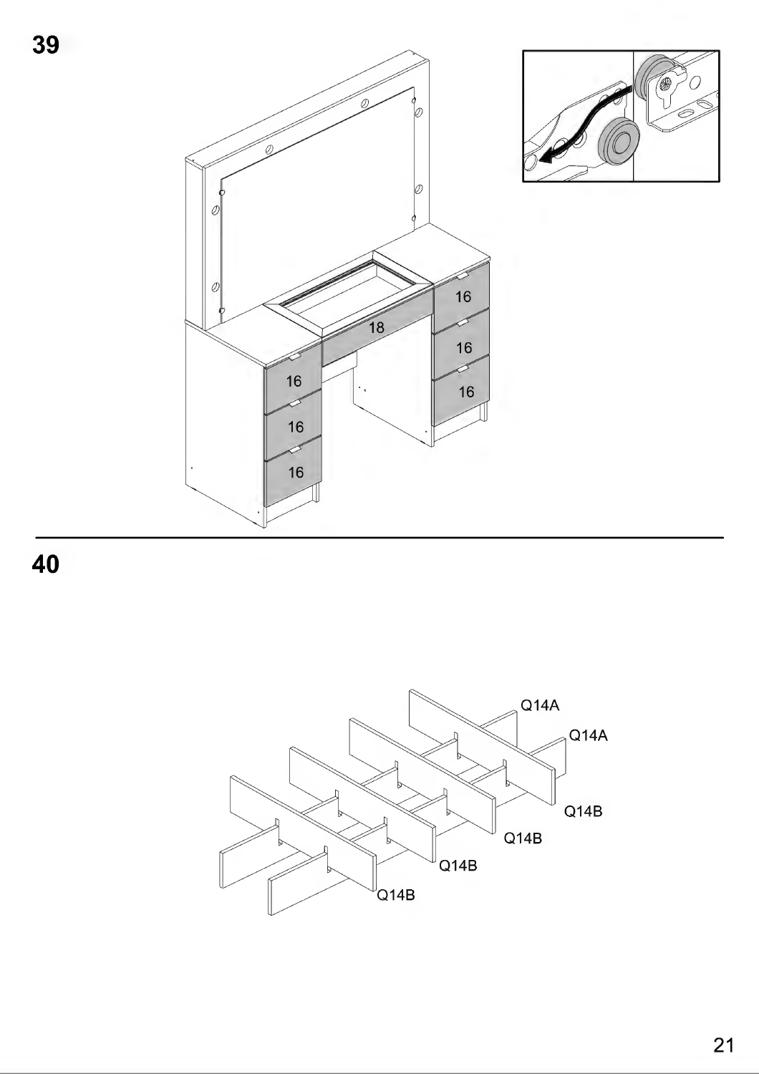



 $Q14A$ Q14A 014B Q14B  $\sqrt{\mathsf{Q}}$ 14B  $\sqrt{\mathsf{Q}}$ 14B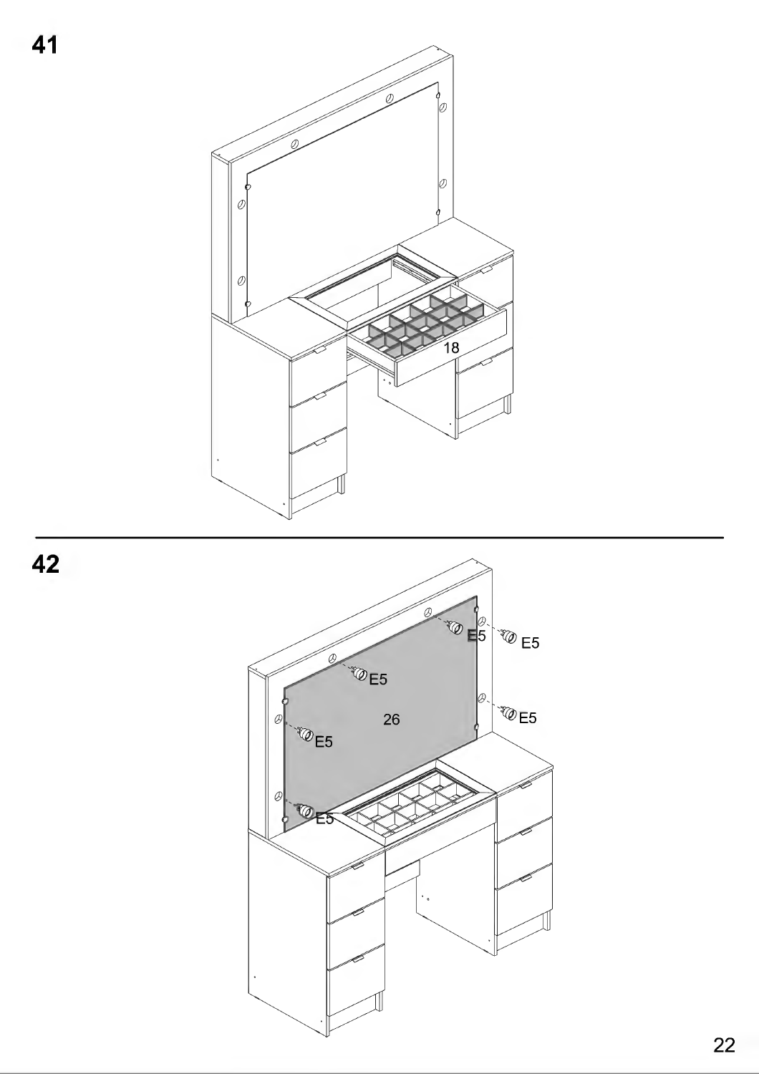